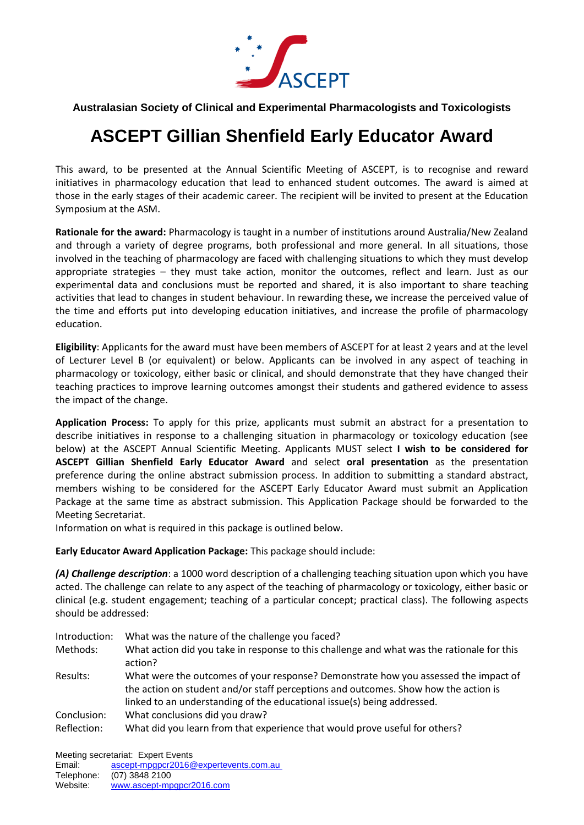

## **Australasian Society of Clinical and Experimental Pharmacologists and Toxicologists**

## **ASCEPT Gillian Shenfield Early Educator Award**

This award, to be presented at the Annual Scientific Meeting of ASCEPT, is to recognise and reward initiatives in pharmacology education that lead to enhanced student outcomes. The award is aimed at those in the early stages of their academic career. The recipient will be invited to present at the Education Symposium at the ASM.

**Rationale for the award:** Pharmacology is taught in a number of institutions around Australia/New Zealand and through a variety of degree programs, both professional and more general. In all situations, those involved in the teaching of pharmacology are faced with challenging situations to which they must develop appropriate strategies – they must take action, monitor the outcomes, reflect and learn. Just as our experimental data and conclusions must be reported and shared, it is also important to share teaching activities that lead to changes in student behaviour. In rewarding these**,** we increase the perceived value of the time and efforts put into developing education initiatives, and increase the profile of pharmacology education.

**Eligibility**: Applicants for the award must have been members of ASCEPT for at least 2 years and at the level of Lecturer Level B (or equivalent) or below. Applicants can be involved in any aspect of teaching in pharmacology or toxicology, either basic or clinical, and should demonstrate that they have changed their teaching practices to improve learning outcomes amongst their students and gathered evidence to assess the impact of the change.

**Application Process:** To apply for this prize, applicants must submit an abstract for a presentation to describe initiatives in response to a challenging situation in pharmacology or toxicology education (see below) at the ASCEPT Annual Scientific Meeting. Applicants MUST select **I wish to be considered for ASCEPT Gillian Shenfield Early Educator Award** and select **oral presentation** as the presentation preference during the online abstract submission process. In addition to submitting a standard abstract, members wishing to be considered for the ASCEPT Early Educator Award must submit an Application Package at the same time as abstract submission. This Application Package should be forwarded to the Meeting Secretariat.

Information on what is required in this package is outlined below.

**Early Educator Award Application Package:** This package should include:

*(A) Challenge description*: a 1000 word description of a challenging teaching situation upon which you have acted. The challenge can relate to any aspect of the teaching of pharmacology or toxicology, either basic or clinical (e.g. student engagement; teaching of a particular concept; practical class). The following aspects should be addressed:

| Introduction: | What was the nature of the challenge you faced?                                                                                                                                                                                                       |
|---------------|-------------------------------------------------------------------------------------------------------------------------------------------------------------------------------------------------------------------------------------------------------|
| Methods:      | What action did you take in response to this challenge and what was the rationale for this<br>action?                                                                                                                                                 |
| Results:      | What were the outcomes of your response? Demonstrate how you assessed the impact of<br>the action on student and/or staff perceptions and outcomes. Show how the action is<br>linked to an understanding of the educational issue(s) being addressed. |
| Conclusion:   | What conclusions did you draw?                                                                                                                                                                                                                        |
| Reflection:   | What did you learn from that experience that would prove useful for others?                                                                                                                                                                           |

Meeting secretariat: Expert Events

Email: [ascept-mpgpcr2016@expertevents.com.au](mailto:ascept-mpgpcr2016@expertevents.com.au) Telephone: (07) 3848 2100

Website: [www.ascept-mpgpcr2016.com](http://www.ascept-mpgpcr2016.com/)